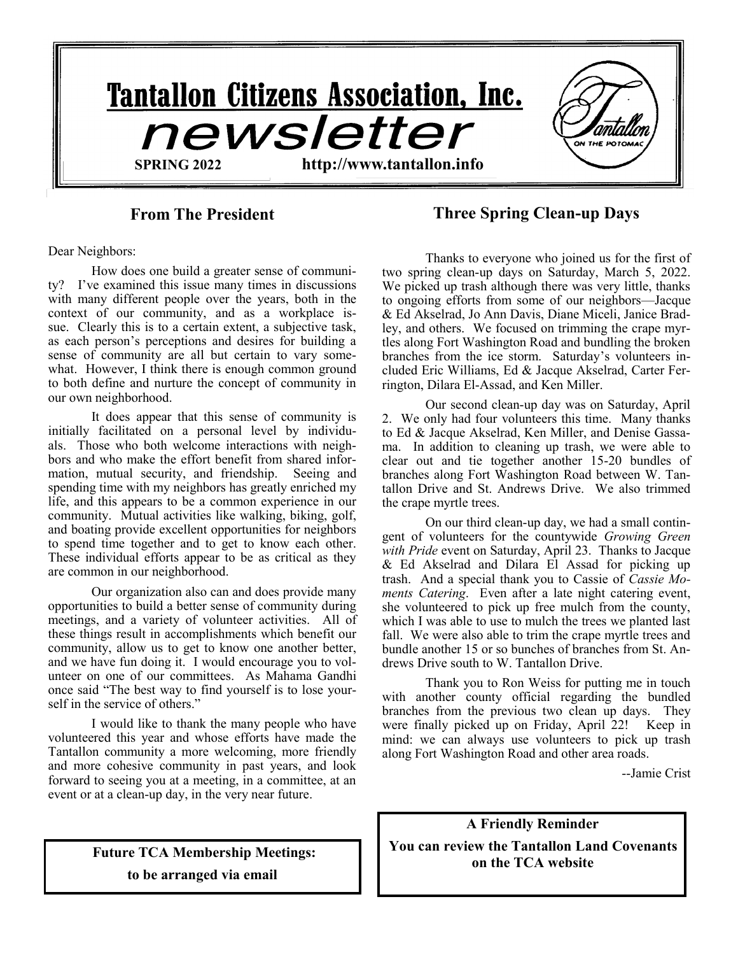

**From The President Three Spring Clean-up Days**

Dear Neighbors:

How does one build a greater sense of community? I've examined this issue many times in discussions with many different people over the years, both in the context of our community, and as a workplace issue. Clearly this is to a certain extent, a subjective task, as each person's perceptions and desires for building a sense of community are all but certain to vary somewhat. However, I think there is enough common ground to both define and nurture the concept of community in our own neighborhood.

It does appear that this sense of community is initially facilitated on a personal level by individuals. Those who both welcome interactions with neighbors and who make the effort benefit from shared information, mutual security, and friendship. Seeing and spending time with my neighbors has greatly enriched my life, and this appears to be a common experience in our community. Mutual activities like walking, biking, golf, and boating provide excellent opportunities for neighbors to spend time together and to get to know each other. These individual efforts appear to be as critical as they are common in our neighborhood.

Our organization also can and does provide many opportunities to build a better sense of community during meetings, and a variety of volunteer activities. All of these things result in accomplishments which benefit our community, allow us to get to know one another better, and we have fun doing it. I would encourage you to volunteer on one of our committees. As Mahama Gandhi once said "The best way to find yourself is to lose yourself in the service of others."

I would like to thank the many people who have volunteered this year and whose efforts have made the Tantallon community a more welcoming, more friendly and more cohesive community in past years, and look forward to seeing you at a meeting, in a committee, at an event or at a clean-up day, in the very near future.

Thanks to everyone who joined us for the first of two spring clean-up days on Saturday, March 5, 2022. We picked up trash although there was very little, thanks to ongoing efforts from some of our neighbors—Jacque & Ed Akselrad, Jo Ann Davis, Diane Miceli, Janice Bradley, and others. We focused on trimming the crape myrtles along Fort Washington Road and bundling the broken branches from the ice storm. Saturday's volunteers included Eric Williams, Ed & Jacque Akselrad, Carter Ferrington, Dilara El-Assad, and Ken Miller.

Our second clean-up day was on Saturday, April 2. We only had four volunteers this time. Many thanks to Ed & Jacque Akselrad, Ken Miller, and Denise Gassama. In addition to cleaning up trash, we were able to clear out and tie together another 15-20 bundles of branches along Fort Washington Road between W. Tantallon Drive and St. Andrews Drive. We also trimmed the crape myrtle trees.

On our third clean-up day, we had a small contingent of volunteers for the countywide *Growing Green with Pride* event on Saturday, April 23. Thanks to Jacque & Ed Akselrad and Dilara El Assad for picking up trash. And a special thank you to Cassie of *Cassie Moments Catering*. Even after a late night catering event, she volunteered to pick up free mulch from the county, which I was able to use to mulch the trees we planted last fall. We were also able to trim the crape myrtle trees and bundle another 15 or so bunches of branches from St. Andrews Drive south to W. Tantallon Drive.

Thank you to Ron Weiss for putting me in touch with another county official regarding the bundled branches from the previous two clean up days. They were finally picked up on Friday, April 22! Keep in mind: we can always use volunteers to pick up trash along Fort Washington Road and other area roads.

--Jamie Crist

**A Friendly Reminder You can review the Tantallon Land Covenants on the TCA website**

**Future TCA Membership Meetings: to be arranged via email**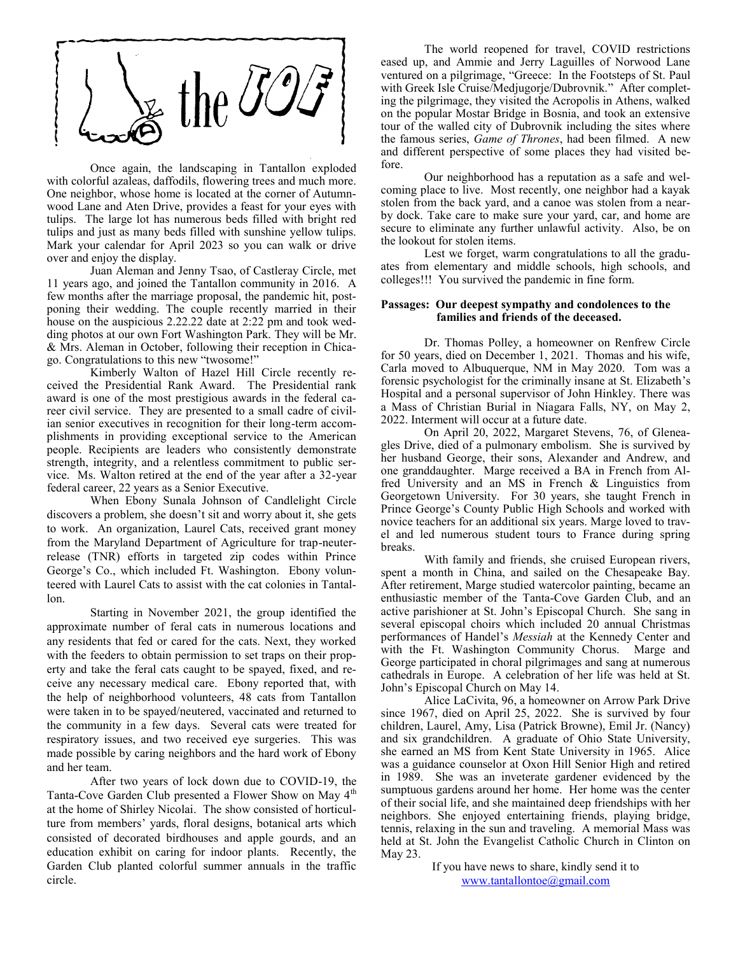

Once again, the landscaping in Tantallon exploded with colorful azaleas, daffodils, flowering trees and much more. One neighbor, whose home is located at the corner of Autumnwood Lane and Aten Drive, provides a feast for your eyes with tulips. The large lot has numerous beds filled with bright red tulips and just as many beds filled with sunshine yellow tulips. Mark your calendar for April 2023 so you can walk or drive over and enjoy the display.

Juan Aleman and Jenny Tsao, of Castleray Circle, met 11 years ago, and joined the Tantallon community in 2016. A few months after the marriage proposal, the pandemic hit, postponing their wedding. The couple recently married in their house on the auspicious 2.22.22 date at 2:22 pm and took wedding photos at our own Fort Washington Park. They will be Mr. & Mrs. Aleman in October, following their reception in Chicago. Congratulations to this new "twosome!"

Kimberly Walton of Hazel Hill Circle recently received the Presidential Rank Award. The Presidential rank award is one of the most prestigious awards in the federal career civil service. They are presented to a small cadre of civilian senior executives in recognition for their long-term accomplishments in providing exceptional service to the American people. Recipients are leaders who consistently demonstrate strength, integrity, and a relentless commitment to public service. Ms. Walton retired at the end of the year after a 32-year federal career, 22 years as a Senior Executive.

When Ebony Sunala Johnson of Candlelight Circle discovers a problem, she doesn't sit and worry about it, she gets to work. An organization, Laurel Cats, received grant money from the Maryland Department of Agriculture for trap-neuterrelease (TNR) efforts in targeted zip codes within Prince George's Co., which included Ft. Washington. Ebony volunteered with Laurel Cats to assist with the cat colonies in Tantallon.

Starting in November 2021, the group identified the approximate number of feral cats in numerous locations and any residents that fed or cared for the cats. Next, they worked with the feeders to obtain permission to set traps on their property and take the feral cats caught to be spayed, fixed, and receive any necessary medical care. Ebony reported that, with the help of neighborhood volunteers, 48 cats from Tantallon were taken in to be spayed/neutered, vaccinated and returned to the community in a few days. Several cats were treated for respiratory issues, and two received eye surgeries. This was made possible by caring neighbors and the hard work of Ebony and her team.

After two years of lock down due to COVID-19, the Tanta-Cove Garden Club presented a Flower Show on May 4<sup>th</sup> at the home of Shirley Nicolai. The show consisted of horticulture from members' yards, floral designs, botanical arts which consisted of decorated birdhouses and apple gourds, and an education exhibit on caring for indoor plants. Recently, the Garden Club planted colorful summer annuals in the traffic circle.

The world reopened for travel, COVID restrictions eased up, and Ammie and Jerry Laguilles of Norwood Lane ventured on a pilgrimage, "Greece: In the Footsteps of St. Paul with Greek Isle Cruise/Medjugorje/Dubrovnik." After completing the pilgrimage, they visited the Acropolis in Athens, walked on the popular Mostar Bridge in Bosnia, and took an extensive tour of the walled city of Dubrovnik including the sites where the famous series, *Game of Thrones*, had been filmed. A new and different perspective of some places they had visited before.

Our neighborhood has a reputation as a safe and welcoming place to live. Most recently, one neighbor had a kayak stolen from the back yard, and a canoe was stolen from a nearby dock. Take care to make sure your yard, car, and home are secure to eliminate any further unlawful activity. Also, be on the lookout for stolen items.

Lest we forget, warm congratulations to all the graduates from elementary and middle schools, high schools, and colleges!!! You survived the pandemic in fine form.

#### **Passages: Our deepest sympathy and condolences to the families and friends of the deceased.**

Dr. Thomas Polley, a homeowner on Renfrew Circle for 50 years, died on December 1, 2021. Thomas and his wife, Carla moved to Albuquerque, NM in May 2020. Tom was a forensic psychologist for the criminally insane at St. Elizabeth's Hospital and a personal supervisor of John Hinkley. There was a Mass of Christian Burial in Niagara Falls, NY, on May 2, 2022. Interment will occur at a future date.

On April 20, 2022, Margaret Stevens, 76, of Gleneagles Drive, died of a pulmonary embolism. She is survived by her husband George, their sons, Alexander and Andrew, and one granddaughter. Marge received a BA in French from Alfred University and an MS in French & Linguistics from Georgetown University. For 30 years, she taught French in Prince George's County Public High Schools and worked with novice teachers for an additional six years. Marge loved to travel and led numerous student tours to France during spring breaks.

With family and friends, she cruised European rivers, spent a month in China, and sailed on the Chesapeake Bay. After retirement, Marge studied watercolor painting, became an enthusiastic member of the Tanta-Cove Garden Club, and an active parishioner at St. John's Episcopal Church. She sang in several episcopal choirs which included 20 annual Christmas performances of Handel's *Messiah* at the Kennedy Center and with the Ft. Washington Community Chorus. Marge and George participated in choral pilgrimages and sang at numerous cathedrals in Europe. A celebration of her life was held at St. John's Episcopal Church on May 14.

Alice LaCivita, 96, a homeowner on Arrow Park Drive since 1967, died on April 25, 2022. She is survived by four children, Laurel, Amy, Lisa (Patrick Browne), Emil Jr. (Nancy) and six grandchildren. A graduate of Ohio State University, she earned an MS from Kent State University in 1965. Alice was a guidance counselor at Oxon Hill Senior High and retired in 1989. She was an inveterate gardener evidenced by the sumptuous gardens around her home. Her home was the center of their social life, and she maintained deep friendships with her neighbors. She enjoyed entertaining friends, playing bridge, tennis, relaxing in the sun and traveling. A memorial Mass was held at St. John the Evangelist Catholic Church in Clinton on May 23.

> If you have news to share, kindly send it to [www.tantallontoe@gmail.com](http://www.tantallontoe@gmail.com)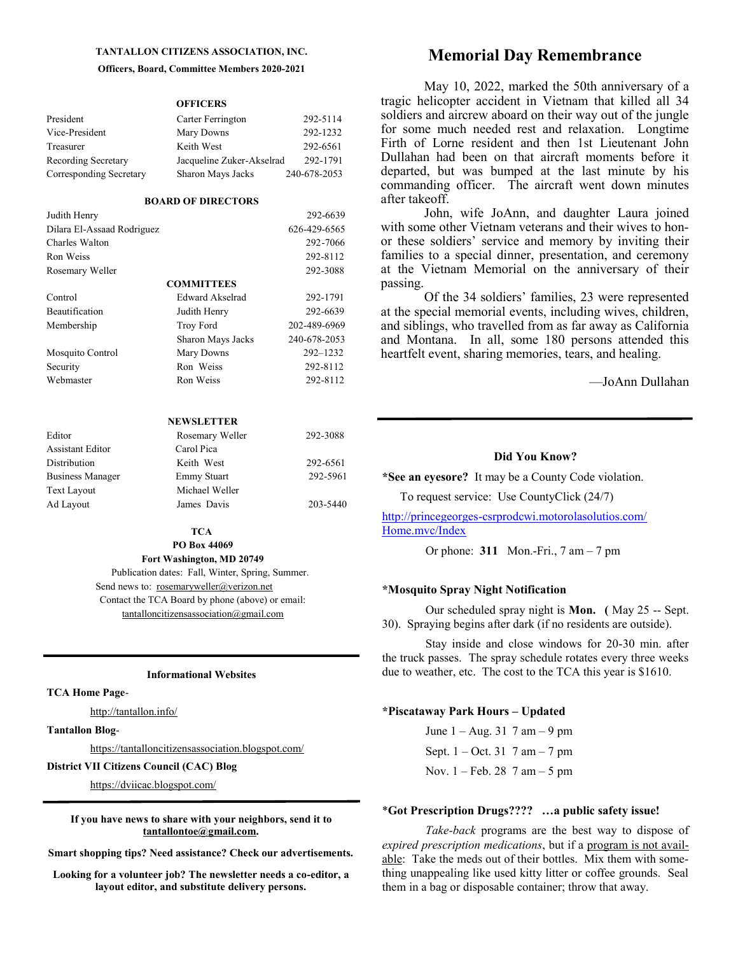#### **TANTALLON CITIZENS ASSOCIATION, INC.**

#### **Officers, Board, Committee Members 2020-2021**

**OFFICERS**

| President               | Carter Ferrington         | 292-5114     |
|-------------------------|---------------------------|--------------|
| Vice-President          | Mary Downs                | 292-1232     |
| Treasurer               | Keith West                | 292-6561     |
| Recording Secretary     | Jacqueline Zuker-Akselrad | 292-1791     |
| Corresponding Secretary | Sharon Mays Jacks         | 240-678-2053 |

#### **BOARD OF DIRECTORS**

| Judith Henry               |                   | 292-6639     |
|----------------------------|-------------------|--------------|
| Dilara El-Assaad Rodriguez |                   | 626-429-6565 |
| Charles Walton             |                   | 292-7066     |
| Ron Weiss                  |                   | 292-8112     |
| Rosemary Weller            |                   | 292-3088     |
|                            | <b>COMMITTEES</b> |              |
| Control                    | Edward Akselrad   | 292-1791     |
| <b>Beautification</b>      | Judith Henry      | 292-6639     |
| Membership                 | <b>Troy Ford</b>  | 202-489-6969 |
|                            | Sharon Mays Jacks | 240-678-2053 |
| Mosquito Control           | Mary Downs        | 292-1232     |
| Security                   | Ron Weiss         | 292-8112     |
| Webmaster                  | Ron Weiss         | 292-8112     |

#### **NEWSLETTER**

| Editor                  | Rosemary Weller    | 292-3088 |
|-------------------------|--------------------|----------|
| <b>Assistant Editor</b> | Carol Pica         |          |
| Distribution            | Keith West         | 292-6561 |
| <b>Business Manager</b> | <b>Emmy Stuart</b> | 292-5961 |
| <b>Text Layout</b>      | Michael Weller     |          |
| Ad Layout               | James Davis        | 203-5440 |

#### **TCA PO Box 44069**

**Fort Washington, MD 20749** 

 Publication dates: Fall, Winter, Spring, Summer. Send news to: rosemaryweller@verizon.net Contact the TCA Board by phone (above) or email: tantalloncitizensassociation@gmail.com

#### **Informational Websites**

#### **TCA Home Page**-

http://tantallon.info/

**Tantallon Blog**-

https://tantalloncitizensassociation.blogspot.com/

#### **District VII Citizens Council (CAC) Blog**

https://dviicac.blogspot.com/

**If you have news to share with your neighbors, send it to tantallontoe@gmail.com.**

**Smart shopping tips? Need assistance? Check our advertisements.**

**Looking for a volunteer job? The newsletter needs a co-editor, a layout editor, and substitute delivery persons.**

## **Memorial Day Remembrance**

May 10, 2022, marked the 50th anniversary of a tragic helicopter accident in Vietnam that killed all 34 soldiers and aircrew aboard on their way out of the jungle for some much needed rest and relaxation. Longtime Firth of Lorne resident and then 1st Lieutenant John Dullahan had been on that aircraft moments before it departed, but was bumped at the last minute by his commanding officer. The aircraft went down minutes after takeoff.

John, wife JoAnn, and daughter Laura joined with some other Vietnam veterans and their wives to honor these soldiers' service and memory by inviting their families to a special dinner, presentation, and ceremony at the Vietnam Memorial on the anniversary of their passing.

Of the 34 soldiers' families, 23 were represented at the special memorial events, including wives, children, and siblings, who travelled from as far away as California and Montana. In all, some 180 persons attended this heartfelt event, sharing memories, tears, and healing.

—JoAnn Dullahan

#### **Did You Know?**

**\*See an eyesore?** It may be a County Code violation.

To request service: Use CountyClick (24/7)

http://princegeorges-[csrprodcwi.motorolasolutios.com/](http://princegeorges-csrprodcwi.motorolasolutios.com/Home.mvc/Index) [Home.mvc/Index](http://princegeorges-csrprodcwi.motorolasolutios.com/Home.mvc/Index)

Or phone: **311** Mon.-Fri., 7 am – 7 pm

#### **\*Mosquito Spray Night Notification**

Our scheduled spray night is **Mon. (** May 25 -- Sept. 30). Spraying begins after dark (if no residents are outside).

Stay inside and close windows for 20-30 min. after the truck passes. The spray schedule rotates every three weeks due to weather, etc. The cost to the TCA this year is \$1610.

#### **\*Piscataway Park Hours – Updated**

June 1 – Aug. 31 7 am – 9 pm Sept.  $1 - Oct. 31$  7 am  $- 7$  pm Nov. 1 – Feb. 28 7 am – 5 pm

#### \***Got Prescription Drugs???? …a public safety issue!**

*Take-back* programs are the best way to dispose of *expired prescription medications*, but if a program is not available: Take the meds out of their bottles. Mix them with something unappealing like used kitty litter or coffee grounds. Seal them in a bag or disposable container; throw that away.